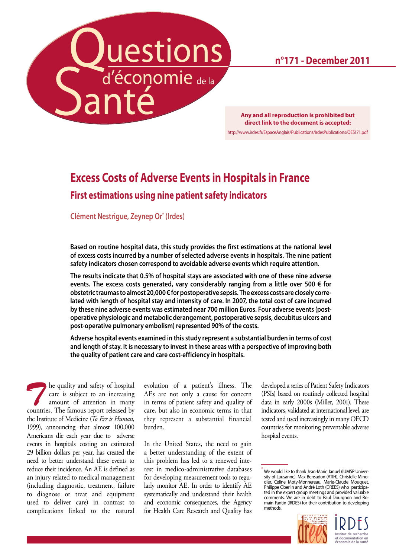Questions

**n°171 - December 2011**

**Any and all reproduction is prohibited but direct link to the document is accepted:** <http://www.irdes.fr/EspaceAnglais/Publications/IrdesPublications/QES171.pdf>

# **Excess Costs of Adverse Events in Hospitals in France First estimations using nine patient safety indicators**

**Clément Nestrigue, Zeynep Or\* (Irdes)**

**Based on routine hospital data, this study provides the first estimations at the national level of excess costs incurred by a number of selected adverse events in hospitals. The nine patient safety indicators chosen correspond to avoidable adverse events which require attention.** 

**The results indicate that 0.5% of hospital stays are associated with one of these nine adverse events. The excess costs generated, vary considerably ranging from a little over 500 € for obstetric traumas to almost 20,000 € for postoperative sepsis. The excess costs are closely correlated with length of hospital stay and intensity of care. In 2007, the total cost of care incurred by these nine adverse events was estimated near 700 million Euros. Four adverse events (postoperative physiologic and metabolic derangement, postoperative sepsis, decubitus ulcers and post-operative pulmonary embolism) represented 90% of the costs.** 

**Adverse hospital events examined in this study represent a substantial burden in terms of cost and length of stay. It is necessary to invest in these areas with a perspective of improving both the quality of patient care and care cost-efficiency in hospitals.**

**The quality and safety of hospital care is subject to an increasing amount of attention in many countries**. The famous report released by care is subject to an increasing countries. The famous report released by the Institute of Medicine (*To Err is Human*, 1999), announcing that almost 100,000 Americans die each year due to adverse events in hospitals costing an estimated 29 billion dollars per year, has created the need to better understand these events to reduce their incidence. An AE is defined as an injury related to medical management (including diagnostic, treatment, failure to diagnose or treat and equipment used to deliver care) in contrast to complications linked to the natural

evolution of a patient's illness. The AEs are not only a cause for concern in terms of patient safety and quality of care, but also in economic terms in that they represent a substantial financial burden.

In the United States, the need to gain a better understanding of the extent of this problem has led to a renewed interest in medico-administrative databases for developing measurement tools to regularly monitor AE. In order to identify AE systematically and understand their health and economic consequences, the Agency for Health Care Research and Quality has developed a series of Patient Safety Indicators (PSIs) based on routinely collected hospital data in early 2000s (Miller, 2001). These indicators, validated at international level, are tested and used increasingly in many OECD countries for monitoring preventable adverse hospital events.

<sup>\*</sup> We would like to thank Jean-Marie Januel (IUMSP Univer-sity of Lausanne), Max Bensadon (ATIH), Christelle Mino-dier, Céline Moty-Monnereau, Marie-Claude Mouquet, Philippe Oberlin and André Loth (DREES) who participated in the expert group meetings and provided valuable comments. We are in debt to Paul Dourgnon and Romain Fantin (IRDES) for their contribution to developing methods.



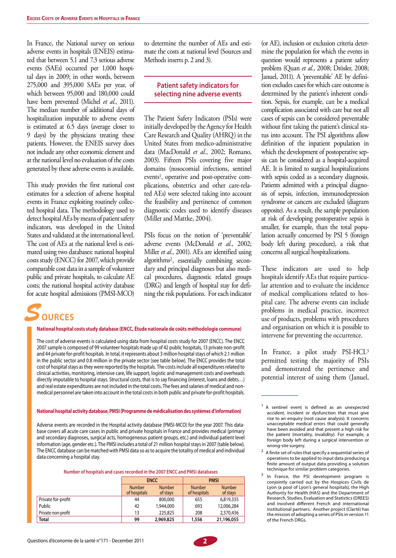In France, the National survey on serious adverse events in hospitals (ENEIS) estimated that between 5.1 and 7.3 serious adverse events (SAEs) occurred per 1,000 hospital days in 2009; in other words, between 275,000 and 395,000 SAEs per year, of which between 95,000 and 180,000 could have been prevented (Michel *et al.*, 2011). The median number of additional days of hospitalization imputable to adverse events is estimated at 6.5 days (average closer to 9 days) by the physicians treating these patients. However, the ENEIS survey does not include any other economic element and at the national level no evaluation of the costs generated by these adverse events is available.

This study provides the first national cost estimates for a selection of adverse hospital events in France exploiting routinely collected hospital data. The methodology used to detect hospital AEs by means of patient safety indicators, was developed in the United States and validated at the international level. The cost of AEs at the national level is estimated using two databases: national hospital costs study (ENCC) for 2007, which provide comparable cost data in a sample of volunteer public and private hospitals, to calculate AE costs; the national hospital activity database for acute hospital admissions (PMSI-MCO)

to determine the number of AEs and estimate the costs at national level (Sources and Methods inserts p. 2 and 3).

# **Patient safety indicators for selecting nine adverse events**

The Patient Safety Indicators (PSIs) were initially developed by the Agency for Health Care Research and Quality (AHRQ) in the United States from medico-administrative data (MacDonald *et al.*, 2002; Romano, 2003). Fifteen PSIs covering five major domains (nosocomial infections, sentinel events<sup>1</sup>, operative and post-operative complications, obstetrics and other care-related AEs) were selected taking into account the feasibility and pertinence of common diagnostic codes used to identify diseases (Miller and Mattke, 2004).

PSIs focus on the notion of 'preventable' adverse events (McDonald *et al.*, 2002; Miller *et al.*, 2001). AEs are identified using algorithms2, essentially combining secondary and principal diagnoses but also medical procedures, diagnostic related groups (DRG) and length of hospital stay for defining the risk populations. For each indicator



#### **National hospital costs study database (ENCC, Étude nationale de coûts méthodologie commune)**

The cost of adverse events is calculated using data from hospital costs study for 2007 (ENCC). The ENCC 2007 sample is composed of 99 volunteer hospitals made up of 42 public hospitals, 13 private non-profit and 44 private for-profit hospitals. In total, it represents about 3 million hospital stays of which 2.1 million in the public sector and 0.8 million in the private sector (see table below). The ENCC provides the total cost of hospital stays as they were reported by the hospitals. The costs include all expenditures related to clinical activities, monitoring, intensive care, life support, logistic and management costs and overheads directly imputable to hospital stays. Structural costs, that is to say financing (interest, loans and debts…) and real estate expenditures are not included in the total costs. The fees and salaries of medical and nonmedical personnel are taken into account in the total costs in both public and private for-profit hospitals.

#### **National hospital activity database, PMSI (Programme de médicalisation des systèmes d'information)**

Adverse events are recorded in the Hospital activity database (PMSI-MCO) for the year 2007. This database covers all acute care cases in public and private hospitals in France and provides medical (primary and secondary diagnoses, surgical acts, homogeneous patient groups, etc.) and individual patient level information (age, gender etc.). The PMSI includes a total of 21 million hospital stays in 2007 (table below). The ENCC database can be matched with PMSI data so as to acquire the totality of medical and individual data concerning a hospital stay.

#### **Number of hospitals and cases recorded in the 2007 ENCC and PMSI databases**

|                    |                               | <b>ENCC</b>               | <b>PMSI</b>                   |                           |  |
|--------------------|-------------------------------|---------------------------|-------------------------------|---------------------------|--|
|                    | <b>Number</b><br>of hospitals | <b>Number</b><br>of stays | <b>Number</b><br>of hospitals | <b>Number</b><br>of stays |  |
| Private for-profit | 44                            | 800,000                   | 655                           | 6,819,335                 |  |
| Public             | 42                            | 1,944,000                 | 693                           | 12,006,284                |  |
| Private non-profit | 13                            | 225,825                   | 208                           | 2,370,436                 |  |
| <b>Total</b>       | 99                            | 2,969,825                 | 1,556                         | 21,196,055                |  |

(or AE), inclusion or exclusion criteria determine the population for which the events in question would represents a patient safety problem (Quan *et al.*, 2008; Drösler, 2008; Januel, 2011). A 'preventable' AE by definition excludes cases for which care outcome is determined by the patient's inherent condition. Sepsis, for example, can be a medical complication associated with care but not all cases of sepsis can be considered preventable without first taking the patient's clinical status into account. The PSI algorithms allow definition of the inpatient population in which the development of postoperative sepsis can be considered as a hospital-acquired AE. It is limited to surgical hospitalizations with sepsis coded as a secondary diagnosis. Patients admitted with a principal diagnosis of sepsis, infection, immunodepression syndrome or cancers are excluded (diagram opposite). As a result, the sample population at risk of developing postoperative sepsis is smaller, for example, than the total population actually concerned by PSI 5 (foreign body left during procedure), a risk that concerns all surgical hospitalizations.

These indicators are used to help hospitals identify AEs that require particular attention and to evaluate the incidence of medical complications related to hospital care. The adverse events can include problems in medical practice, incorrect use of products, problems with procedures and organisation on which it is possible to intervene for preventing the occurrence.

In France, a pilot study PSI-HCL<sup>3</sup> permitted testing the majority of PSIs and demonstrated the pertinence and potential interest of using them (Januel,



<sup>&</sup>lt;sup>1</sup> A sentinel event is defined as an unexpected accident, incident or dysfunction that must give rise to an enquiry (root cause analysis). It concerns unacceptable medical errors that could generally have been avoided and that present a high risk for the patient (mortality, invalidity). For example, a foreign body left during a surgical intervention or wrong-site surgery.

<sup>2</sup> A finite set of rules that specify a sequential series of operations to be applied to input data producing a finite amount of output data providing a solution technique for similar problem categories.

<sup>&</sup>lt;sup>3</sup> In France, the PSI development program is conjointly carried out by the Hospices Civils de Lyon (a pool of Lyon's general hospitals), the High Authority for Health (HAS) and the Department of Research, Studies, Evaluation and Statistics (DREES) and involved different French and international institutional partners. Another project (Clarté) has the mission of adopting a series of PSIs in version 11 of the French DRGs.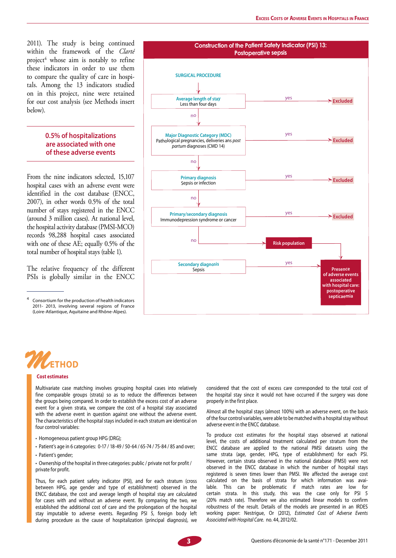2011). The study is being continued within the framework of the *Clarté* project<sup>4</sup> whose aim is notably to refine these indicators in order to use them to compare the quality of care in hospitals. Among the 13 indicators studied on in this project, nine were retained for our cost analysis (see Methods insert below).

#### **0.5% of hospitalizations are associated with one of these adverse events**

From the nine indicators selected, 15,107 hospital cases with an adverse event were identified in the cost database (ENCC, 2007), in other words 0.5% of the total number of stays registered in the ENCC (around 3 million cases). At national level, the hospital activity database (PMSI-MCO) records 98,288 hospital cases associated with one of these AE; equally 0.5% of the total number of hospital stays (table 1).

The relative frequency of the different PSIs is globally similar in the ENCC

<sup>4</sup> Consortium for the production of health indicators 2011- 2013, involving several regions of France (Loire-Atlantique, Aquitaine and Rhône-Alpes).





#### **Cost estimates**

Multivariate case matching involves grouping hospital cases into relatively fine comparable groups (strata) so as to reduce the differences between the groups being compared. In order to establish the excess cost of an adverse event for a given strata, we compare the cost of a hospital stay associated with the adverse event in question against one without the adverse event. The characteristics of the hospital stays included in each stratum are identical on four control variables:

- Homogeneous patient group HPG (DRG);
- Patient's age in 6 categories: 0-17 / 18-49 / 50-64 / 65-74 / 75-84 / 85 and over;
- Patient's gender;

• Ownership of the hospital in three categories: public / private not for profit / private for profit.

Thus, for each patient safety indicator (PSI), and for each stratum (cross between HPG, age gender and type of establishment) observed in the ENCC database, the cost and average length of hospital stay are calculated for cases with and without an adverse event. By comparing the two, we established the additional cost of care and the prolongation of the hospital stay imputable to adverse events. Regarding PSI 5, foreign body left during procedure as the cause of hospitalization (principal diagnosis), we

considered that the cost of excess care corresponded to the total cost of the hospital stay since it would not have occurred if the surgery was done properly in the first place.

Almost all the hospital stays (almost 100%) with an adverse event, on the basis of the four control variables, were able to be matched with a hospital stay without adverse event in the ENCC database.

To produce cost estimates for the hospital stays observed at national level, the costs of additional treatment calculated per stratum from the ENCC database are applied to the national PMSI datasets using the same strata (age, gender, HPG, type of establishment) for each PSI. However, certain strata observed in the national database (PMSI) were not observed in the ENCC database in which the number of hospital stays registered is seven times lower than PMSI. We affected the average cost calculated on the basis of strata for which information was available. This can be problematic if match rates are low for certain strata. In this study, this was the case only for PSI 5 (20% match rate). Therefore we also estimated linear models to confirm robustness of the result. Details of the models are presented in an IRDES working paper: Nestrigue, Or (2012), *Estimated Cost of Adverse Events Associated with Hospital Care*. no. 44, 2012/02 .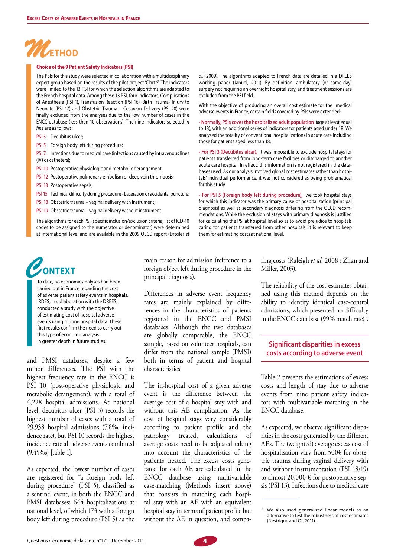

#### **Choice of the 9 Patient Safety Indicators (PSI)**

The PSIs for this study were selected in collaboration with a multidisciplinary expert group based on the results of the pilot project 'Clarté'. The indicators were limited to the 13 PSI for which the selection algorithms are adapted to the French hospital data. Among these 13 PSI, four indicators, Complications of Anesthesia (PSI 1), Transfusion Reaction (PSI 16), Birth Trauma- Injury to Neonate (PSI 17) and Obstetric Trauma - Cesarean Delivery (PSI 20) were finally excluded from the analyses due to the low number of cases in the ENCC database (less than 10 observations). The nine indicators selected *in fine* are as follows:

- PSI 3 Decubitus ulcer;
- PSI 5 Foreign body left during procedure;

PSI 7 Infections due to medical care (infections caused by intravenous lines (IV) or catheters);

- PSI 10 Postoperative physiologic and metabolic derangement;
- PSI 12 Postoperative pulmonary embolism or deep vein thrombosis;
- PSI 13 Postoperative sepsis;
- PSI 15 Technical difficulty during procedure Laceration or accidental puncture;
- PSI 18 Obstetric trauma vaginal delivery with instrument;
- PSI 19 Obstetric trauma vaginal delivery without instrument.

The algorithms for each PSI (specific inclusion/exclusion criteria, list of ICD-10 codes to be assigned to the numerator or denominator) were determined at international level and are available in the 2009 OECD report (Drosler et al., 2009). The algorithms adapted to French data are detailed in a DREES working paper (Januel, 2011). By definition, ambulatory (or same-day) surgery not requiring an overnight hospital stay, and treatment sessions are excluded from the PSI field.

With the objective of producing an overall cost estimate for the medical adverse events in France, certain fields covered by PSIs were extended:

**- Normally, PSIs cover the hospitalized adult population** (age at least equal to 18), with an additional series of indicators for patients aged under 18. We analysed the totality of conventional hospitalizations in acute care including those for patients aged less than 18.

**- For PSI 3 (Decubitus ulcer),** it was impossible to exclude hospital stays for patients transferred from long-term care facilities or discharged to another acute care hospital. In effect, this information is not registered in the databases used. As our analysis involved global cost estimates rather than hospitals' individual performance, it was not considered as being problematical for this study.

**- For PSI 5 (Foreign body left during procedure),** we took hospital stays for which this indicator was the primary cause of hospitalization (principal diagnosis) as well as secondary diagnosis differing from the OECD recommendations. While the exclusion of stays with primary diagnosis is justified for calculating the PSI at hospital level so as to avoid prejudice to hospitals caring for patients transferred from other hospitals, it is relevant to keep them for estimating costs at national level.

# *C***ontext**

To date, no economic analyses had been carried out in France regarding the cost of adverse patient safety events in hospitals. IRDES, in collaboration with the DREES, conducted a study with the objective of estimating cost of hospital adverse events using routine hospital data. These first results confirm the need to carry out this type of economic analysis in greater depth in future studies.

and PMSI databases, despite a few minor differences. The PSI with the highest frequency rate in the ENCC is PSI 10 (post-operative physiologic and metabolic derangement), with a total of 4,228 hospital admissions. At national level, decubitus ulcer (PSI 3) records the highest number of cases with a total of 29,938 hospital admissions (7.8‰ incidence rate), but PSI 10 records the highest incidence rate all adverse events combined (9.45‰) [table 1].

As expected, the lowest number of cases are registered for "a foreign body left during procedure" (PSI 5), classified as a sentinel event, in both the ENCC and PMSI databases: 644 hospitalizations at national level, of which 173 with a foreign body left during procedure (PSI 5) as the

main reason for admission (reference to a foreign object left during procedure in the principal diagnosis).

Differences in adverse event frequency rates are mainly explained by differences in the characteristics of patients registered in the ENCC and PMSI databases. Although the two databases are globally comparable, the ENCC sample, based on volunteer hospitals, can differ from the national sample (PMSI) both in terms of patient and hospital characteristics.

The in-hospital cost of a given adverse event is the difference between the average cost of a hospital stay with and without this AE complication. As the cost of hospital stays vary considerably according to patient profile and the pathology treated, calculations of average costs need to be adjusted taking into account the characteristics of the patients treated. The excess costs generated for each AE are calculated in the ENCC database using multivariable case-matching (Methods insert above) that consists in matching each hospital stay with an AE with an equivalent hospital stay in terms of patient profile but without the AE in question, and comparing costs (Raleigh *et al.* 2008 ; Zhan and Miller, 2003).

The reliability of the cost estimates obtained using this method depends on the ability to identify identical case-control admissions, which presented no difficulty in the ENCC data base (99% match rate)<sup>5</sup>.

#### **Significant disparities in excess costs according to adverse event**

Table 2 presents the estimations of excess costs and length of stay due to adverse events from nine patient safety indicators with multivariable matching in the ENCC database.

As expected, we observe significant disparities in the costs generated by the different AEs. The (weighted) average excess cost of hospitalisation vary from 500€ for obstetric trauma during vaginal delivery with and without instrumentation (PSI 18/19) to almost  $20,000 \text{ }\in$  for postoperative sepsis (PSI 13). Infections due to medical care



We also used generalized linear models as an alternative to test the robustness of cost estimates (Nestrigue and Or, 2011).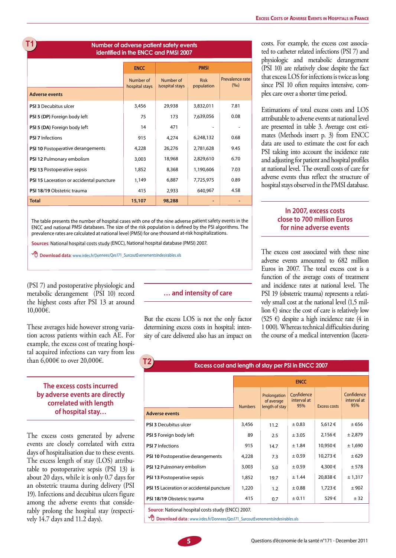# **G1T**

#### **Number of adverse patient safety events identified in the ENCC and PMSI 2007**

|                                          | <b>ENCC</b>                 |                             | <b>PMSI</b>               |                           |
|------------------------------------------|-----------------------------|-----------------------------|---------------------------|---------------------------|
|                                          | Number of<br>hospital stays | Number of<br>hospital stays | <b>Risk</b><br>population | Prevalence rate<br>(9/00) |
| <b>Adverse events</b>                    |                             |                             |                           |                           |
| <b>PSI 3 Decubitus ulcer</b>             | 3,456                       | 29,938                      | 3,832,011                 | 7.81                      |
| PSI 5 (DP) Foreign body left             | 75                          | 173                         | 7,639,056                 | 0.08                      |
| PSI 5 (DA) Foreign body left             | 14                          | 471                         |                           |                           |
| <b>PSI 7 Infections</b>                  | 915                         | 4,274                       | 6,248,132                 | 0.68                      |
| PSI 10 Postoperative derangements        | 4,228                       | 26,276                      | 2,781,628                 | 9.45                      |
| PSI 12 Pulmonary embolism                | 3,003                       | 18,968                      | 2,829,610                 | 6.70                      |
| PSI 13 Postoperative sepsis              | 1,852                       | 8,368                       | 1,190,606                 | 7.03                      |
| PSI 15 Laceration or accidental puncture | 1,149                       | 6,887                       | 7,725,975                 | 0.89                      |
| PSI 18/19 Obstetric trauma               | 415                         | 2,933                       | 640,967                   | 4.58                      |
| <b>Total</b>                             | 15,107                      | 98,288                      |                           |                           |

The table presents the number of hospital cases with one of the nine adverse patient safety events in the ENCC and national PMSI databases. The size of the risk population is defined by the PSI algorithms. The prevalence rates are calculated at national level (PMSI) for one thousand at-risk hospitalizations.

**G1T2**

**Sources**: National hospital costs study (ENCC), National hospital database (PMSI) 2007.

**<sup>D</sup>Download data:** www.irdes.fr/Donnees/Qes171\_SurcoutEvenementsIndesirables.xls

(PSI 7) and postoperative physiologic and metabolic derangement (PSI 10) record the highest costs after PSI 13 at around 10,000€.

These averages hide however strong variation across patients within each AE. For example, the excess cost of treating hospital acquired infections can vary from less than 6,000€ to over 20,000€.

### **The excess costs incurred by adverse events are directly correlated with length of hospital stay…**

The excess costs generated by adverse events are closely correlated with extra days of hospitalisation due to these events. The excess length of stay (LOS) attributable to postoperative sepsis (PSI 13) is about 20 days, while it is only 0.7 days for an obstetric trauma during delivery (PSI 19). Infections and decubitus ulcers figure among the adverse events that considerably prolong the hospital stay (respectively 14.7 days and 11.2 days).

#### **… and intensity of care**

But the excess LOS is not the only factor determining excess costs in hospital; intensity of care delivered also has an impact on costs. For example, the excess cost associated to catheter related infections (PSI 7) and physiologic and metabolic derangement (PSI 10) are relatively close despite the fact that excess LOS for infections is twice as long since PSI 10 often requires intensive, complex care over a shorter time period.

Estimations of total excess costs and LOS attributable to adverse events at national level are presented in table 3. Average cost estimates (Methods insert p. 3) from ENCC data are used to estimate the cost for each PSI taking into account the incidence rate and adjusting for patient and hospital profiles at national level. The overall costs of care for adverse events thus reflect the structure of hospital stays observed in the PMSI database.

## **In 2007, excess costs close to 700 million Euros for nine adverse events**

The excess cost associated with these nine adverse events amounted to 682 million Euros in 2007. The total excess cost is a function of the average costs of treatment and incidence rates at national level. The PSI 19 (obstetric trauma) represents a relatively small cost at the national level (1,5 million  $\epsilon$ ) since the cost of care is relatively low (525 €) despite a high incidence rate (4 in 1 000). Whereas technical difficulties during the course of a medical intervention (lacera-

#### **Excess cost and length of stay per PSI in ENCC 2007**

|                                                                                                                                                                                                                                                                                                                                    | <b>ENCC</b>    |                                              |                                  |              |                                  |
|------------------------------------------------------------------------------------------------------------------------------------------------------------------------------------------------------------------------------------------------------------------------------------------------------------------------------------|----------------|----------------------------------------------|----------------------------------|--------------|----------------------------------|
| <b>Adverse events</b>                                                                                                                                                                                                                                                                                                              | <b>Numbers</b> | Prolongation<br>of average<br>length of stay | Confidence<br>interval at<br>95% | Excess costs | Confidence<br>interval at<br>95% |
| <b>PSI 3 Decubitus ulcer</b>                                                                                                                                                                                                                                                                                                       | 3,456          | 11.2                                         | ± 0.83                           | 5,612 €      | ± 656                            |
| <b>PSI 5 Foreign body left</b>                                                                                                                                                                                                                                                                                                     | 89             | 2.5                                          | ± 3.05                           | 2,156€       | ± 2,879                          |
| <b>PSI 7 Infections</b>                                                                                                                                                                                                                                                                                                            | 915            | 14.7                                         | ± 1.84                           | 10,950€      | ± 1,690                          |
| PSI 10 Postoperative derangements                                                                                                                                                                                                                                                                                                  | 4,228          | 7.3                                          | ± 0.59                           | 10,273 €     | ± 629                            |
| PSI 12 Pulmonary embolism                                                                                                                                                                                                                                                                                                          | 3,003          | 5.0                                          | ± 0.59                           | 4,300€       | ± 578                            |
| PSI 13 Postoperative sepsis                                                                                                                                                                                                                                                                                                        | 1,852          | 19.7                                         | ± 1.44                           | 20,838€      | ± 1,317                          |
| PSI 15 Laceration or accidental puncture                                                                                                                                                                                                                                                                                           | 1,220          | 1.2                                          | ±0.88                            | 1,723 €      | ± 902                            |
| PSI 18/19 Obstetric trauma                                                                                                                                                                                                                                                                                                         | 415            | 0.7                                          | ± 0.11                           | 529€         | ± 32                             |
| $\mathbf{A}$ $\mathbf{B}$ $\mathbf{A}$ $\mathbf{B}$ $\mathbf{A}$ $\mathbf{B}$ $\mathbf{A}$ $\mathbf{B}$ $\mathbf{A}$ $\mathbf{B}$ $\mathbf{A}$ $\mathbf{B}$ $\mathbf{A}$ $\mathbf{B}$ $\mathbf{A}$ $\mathbf{B}$ $\mathbf{A}$ $\mathbf{B}$ $\mathbf{A}$ $\mathbf{B}$ $\mathbf{A}$ $\mathbf{B}$ $\mathbf{A}$ $\mathbf{B}$ $\mathbf{$ |                |                                              |                                  |              |                                  |

**Source**: National hospital costs study (ENCC) 2007.

**<sup>D</sup>** Download data: www.irdes.fr/Donnees/Qes171\_SurcoutEvenementsIndesirables.xls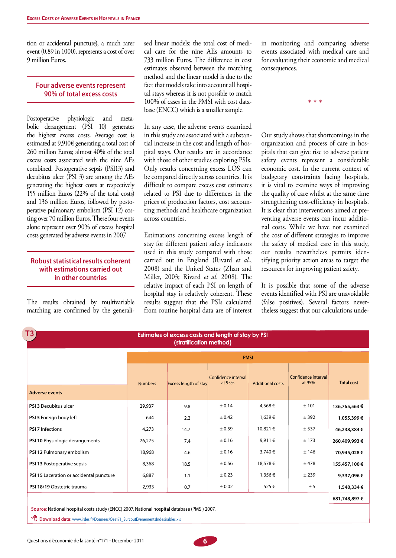tion or accidental puncture), a much rarer event (0.89 in 1000), represents a cost of over 9 million Euros.

#### **Four adverse events represent 90% of total excess costs**

Postoperative physiologic and metabolic derangement (PSI 10) generates the highest excess costs. Average cost is estimated at 9,910€ generating a total cost of 260 million Euros; almost 40% of the total excess costs associated with the nine AEs combined. Postoperative sepsis (PSI13) and decubitus ulcer (PSI 3) are among the AEs generating the highest costs at respectively 155 million Euros (22% of the total costs) and 136 million Euros, followed by postoperative pulmonary embolism (PSI 12) costing over 70 million Euros. These four events alone represent over 90% of excess hospital costs generated by adverse events in 2007.

# **Robust statistical results coherent with estimations carried out in other countries**

The results obtained by multivariable matching are confirmed by the generalised linear models: the total cost of medical care for the nine AEs amounts to 733 million Euros. The difference in cost estimates observed between the matching method and the linear model is due to the fact that models take into account all hospital stays whereas it is not possible to match 100% of cases in the PMSI with cost database (ENCC) which is a smaller sample.

In any case, the adverse events examined in this study are associated with a substantial increase in the cost and length of hospital stays. Our results are in accordance with those of other studies exploring PSIs. Only results concerning excess LOS can be compared directly across countries. It is difficult to compare excess cost estimates related to PSI due to differences in the prices of production factors, cost accounting methods and healthcare organization across countries.

Estimations concerning excess length of stay for different patient safety indicators used in this study compared with those carried out in England (Rivard *et al.*, 2008) and the United States (Zhan and Miller, 2003; Rivard *et al.* 2008). The relative impact of each PSI on length of hospital stay is relatively coherent. These results suggest that the PSIs calculated from routine hospital data are of interest

in monitoring and comparing adverse events associated with medical care and for evaluating their economic and medical consequences.

\* \* \*

Our study shows that shortcomings in the organization and process of care in hospitals that can give rise to adverse patient safety events represent a considerable economic cost. In the current context of budgetary constraints facing hospitals, it is vital to examine ways of improving the quality of care whilst at the same time strengthening cost-efficiency in hospitals. It is clear that interventions aimed at preventing adverse events can incur additional costs. While we have not examined the cost of different strategies to improve the safety of medical care in this study, our results nevertheless permits identifying priority action areas to target the resources for improving patient safety.

It is possible that some of the adverse events identified with PSI are unavoidable (false positives). Several factors nevertheless suggest that our calculations unde-

| T3<br>Estimates of excess costs and length of stay by PSI<br>(stratification method) |                |                              |                               |                         |                               |                   |
|--------------------------------------------------------------------------------------|----------------|------------------------------|-------------------------------|-------------------------|-------------------------------|-------------------|
|                                                                                      | <b>PMSI</b>    |                              |                               |                         |                               |                   |
| <b>Adverse events</b>                                                                | <b>Numbers</b> | <b>Excess length of stay</b> | Confidence interval<br>at 95% | <b>Additional costs</b> | Confidence interval<br>at 95% | <b>Total cost</b> |
| <b>PSI 3 Decubitus ulcer</b>                                                         | 29,937         | 9.8                          | ± 0.14                        | 4,568€                  | ± 101                         | 136,765,563€      |
| PSI 5 Foreign body left                                                              | 644            | 2.2                          | ± 0.42                        | 1,639€                  | ± 392                         | 1,055,399€        |
| <b>PSI 7 Infections</b>                                                              | 4,273          | 14.7                         | ± 0.59                        | 10,821 €                | ± 537                         | 46,238,384 €      |
| PSI 10 Physiologic derangements                                                      | 26,275         | 7.4                          | ± 0.16                        | 9,911€                  | ± 173                         | 260,409,993€      |
| PSI 12 Pulmonary embolism                                                            | 18,968         | 4.6                          | ± 0.16                        | 3,740€                  | ± 146                         | 70,945,028€       |
| PSI 13 Postoperative sepsis                                                          | 8,368          | 18.5                         | ± 0.56                        | 18,578€                 | ± 478                         | 155,457,100 €     |
| PSI 15 Laceration or accidental puncture                                             | 6,887          | 1.1                          | ± 0.23                        | 1,356€                  | ±239                          | 9,337,096€        |
| PSI 18/19 Obstetric trauma                                                           | 2,933          | 0.7                          | ± 0.02                        | 525€                    | ± 5                           | 1,540,334€        |
|                                                                                      |                |                              |                               |                         |                               | 681,748,897€      |

**Source**: National hospital costs study (ENCC) 2007, National hospital database (PMSI) 2007.

**<sup></sub> B** Download data: www.irdes.fr/Donnees/Qes171\_SurcoutEvenementsIndesirables.xls</sup>